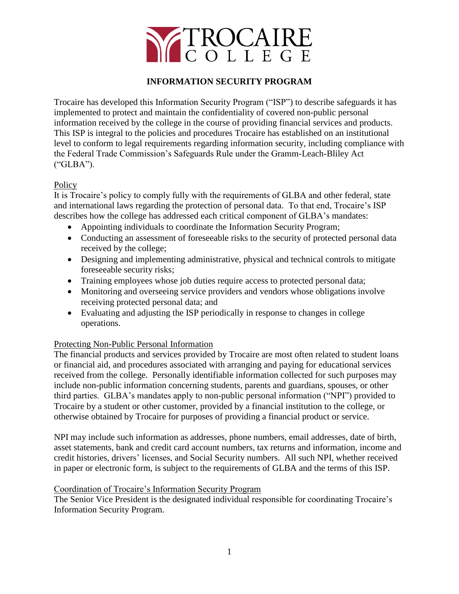

# **INFORMATION SECURITY PROGRAM**

Trocaire has developed this Information Security Program ("ISP") to describe safeguards it has implemented to protect and maintain the confidentiality of covered non-public personal information received by the college in the course of providing financial services and products. This ISP is integral to the policies and procedures Trocaire has established on an institutional level to conform to legal requirements regarding information security, including compliance with the Federal Trade Commission's Safeguards Rule under the Gramm-Leach-Bliley Act ("GLBA").

## Policy

It is Trocaire's policy to comply fully with the requirements of GLBA and other federal, state and international laws regarding the protection of personal data. To that end, Trocaire's ISP describes how the college has addressed each critical component of GLBA's mandates:

- Appointing individuals to coordinate the Information Security Program;
- Conducting an assessment of foreseeable risks to the security of protected personal data received by the college;
- Designing and implementing administrative, physical and technical controls to mitigate foreseeable security risks;
- Training employees whose job duties require access to protected personal data;
- Monitoring and overseeing service providers and vendors whose obligations involve receiving protected personal data; and
- Evaluating and adjusting the ISP periodically in response to changes in college operations.

# Protecting Non-Public Personal Information

The financial products and services provided by Trocaire are most often related to student loans or financial aid, and procedures associated with arranging and paying for educational services received from the college. Personally identifiable information collected for such purposes may include non-public information concerning students, parents and guardians, spouses, or other third parties. GLBA's mandates apply to non-public personal information ("NPI") provided to Trocaire by a student or other customer, provided by a financial institution to the college, or otherwise obtained by Trocaire for purposes of providing a financial product or service.

NPI may include such information as addresses, phone numbers, email addresses, date of birth, asset statements, bank and credit card account numbers, tax returns and information, income and credit histories, drivers' licenses, and Social Security numbers. All such NPI, whether received in paper or electronic form, is subject to the requirements of GLBA and the terms of this ISP.

## Coordination of Trocaire's Information Security Program

The Senior Vice President is the designated individual responsible for coordinating Trocaire's Information Security Program.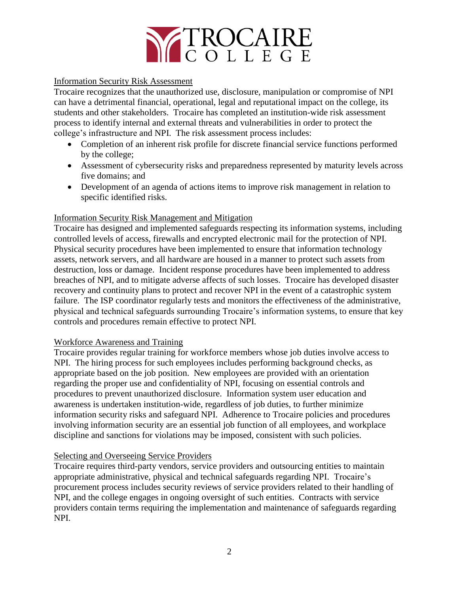

### Information Security Risk Assessment

Trocaire recognizes that the unauthorized use, disclosure, manipulation or compromise of NPI can have a detrimental financial, operational, legal and reputational impact on the college, its students and other stakeholders. Trocaire has completed an institution-wide risk assessment process to identify internal and external threats and vulnerabilities in order to protect the college's infrastructure and NPI. The risk assessment process includes:

- Completion of an inherent risk profile for discrete financial service functions performed by the college;
- Assessment of cybersecurity risks and preparedness represented by maturity levels across five domains; and
- Development of an agenda of actions items to improve risk management in relation to specific identified risks.

### Information Security Risk Management and Mitigation

Trocaire has designed and implemented safeguards respecting its information systems, including controlled levels of access, firewalls and encrypted electronic mail for the protection of NPI. Physical security procedures have been implemented to ensure that information technology assets, network servers, and all hardware are housed in a manner to protect such assets from destruction, loss or damage. Incident response procedures have been implemented to address breaches of NPI, and to mitigate adverse affects of such losses. Trocaire has developed disaster recovery and continuity plans to protect and recover NPI in the event of a catastrophic system failure. The ISP coordinator regularly tests and monitors the effectiveness of the administrative, physical and technical safeguards surrounding Trocaire's information systems, to ensure that key controls and procedures remain effective to protect NPI.

### Workforce Awareness and Training

Trocaire provides regular training for workforce members whose job duties involve access to NPI. The hiring process for such employees includes performing background checks, as appropriate based on the job position. New employees are provided with an orientation regarding the proper use and confidentiality of NPI, focusing on essential controls and procedures to prevent unauthorized disclosure. Information system user education and awareness is undertaken institution-wide, regardless of job duties, to further minimize information security risks and safeguard NPI. Adherence to Trocaire policies and procedures involving information security are an essential job function of all employees, and workplace discipline and sanctions for violations may be imposed, consistent with such policies.

### Selecting and Overseeing Service Providers

Trocaire requires third-party vendors, service providers and outsourcing entities to maintain appropriate administrative, physical and technical safeguards regarding NPI. Trocaire's procurement process includes security reviews of service providers related to their handling of NPI, and the college engages in ongoing oversight of such entities. Contracts with service providers contain terms requiring the implementation and maintenance of safeguards regarding NPI.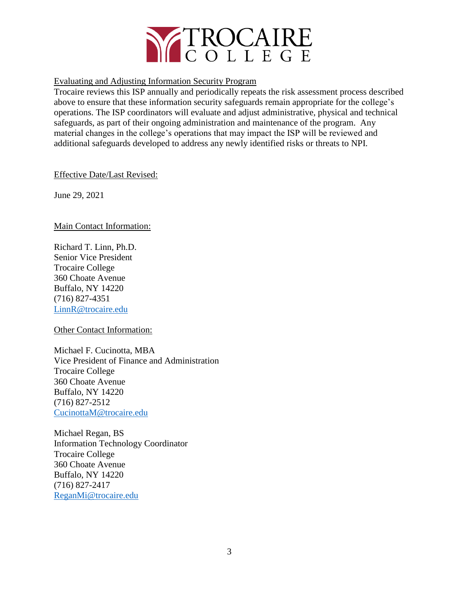

## Evaluating and Adjusting Information Security Program

Trocaire reviews this ISP annually and periodically repeats the risk assessment process described above to ensure that these information security safeguards remain appropriate for the college's operations. The ISP coordinators will evaluate and adjust administrative, physical and technical safeguards, as part of their ongoing administration and maintenance of the program. Any material changes in the college's operations that may impact the ISP will be reviewed and additional safeguards developed to address any newly identified risks or threats to NPI.

Effective Date/Last Revised:

June 29, 2021

Main Contact Information:

Richard T. Linn, Ph.D. Senior Vice President Trocaire College 360 Choate Avenue Buffalo, NY 14220 (716) 827-4351 [LinnR@trocaire.edu](mailto:LinnR@trocaire.edu)

Other Contact Information:

Michael F. Cucinotta, MBA Vice President of Finance and Administration Trocaire College 360 Choate Avenue Buffalo, NY 14220 (716) 827-2512 [CucinottaM@trocaire.edu](mailto:CucinottaM@trocaire.edu)

Michael Regan, BS Information Technology Coordinator Trocaire College 360 Choate Avenue Buffalo, NY 14220 (716) 827-2417 [ReganMi@trocaire.edu](mailto:ReganMi@trocaire.edu)